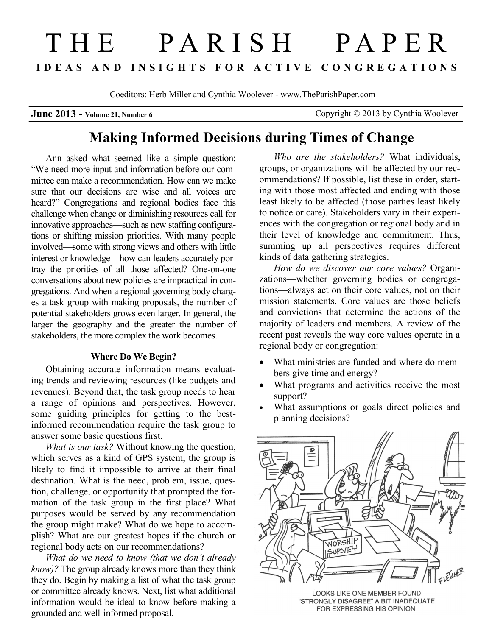# THE PARISH PAPER **I D E A S A N D I N S I G H T S F O R A C T I V E C O N G R E G A T I O N S**

Coeditors: Herb Miller and Cynthia Woolever - www.TheParishPaper.com

**June 2013 -** Volume 21, Number 6 Copyright © 2013 by Cynthia Woolever

# **Making Informed Decisions during Times of Change**

Ann asked what seemed like a simple question: "We need more input and information before our committee can make a recommendation. How can we make sure that our decisions are wise and all voices are heard?" Congregations and regional bodies face this challenge when change or diminishing resources call for innovative approaches—such as new staffing configurations or shifting mission priorities. With many people involved—some with strong views and others with little interest or knowledge—how can leaders accurately portray the priorities of all those affected? One-on-one conversations about new policies are impractical in congregations. And when a regional governing body charges a task group with making proposals, the number of potential stakeholders grows even larger. In general, the larger the geography and the greater the number of stakeholders, the more complex the work becomes.

#### **Where Do We Begin?**

Obtaining accurate information means evaluating trends and reviewing resources (like budgets and revenues). Beyond that, the task group needs to hear a range of opinions and perspectives. However, some guiding principles for getting to the bestinformed recommendation require the task group to answer some basic questions first.

*What is our task?* Without knowing the question, which serves as a kind of GPS system, the group is likely to find it impossible to arrive at their final destination. What is the need, problem, issue, question, challenge, or opportunity that prompted the formation of the task group in the first place? What purposes would be served by any recommendation the group might make? What do we hope to accomplish? What are our greatest hopes if the church or regional body acts on our recommendations?

*What do we need to know (that we don't already know)?* The group already knows more than they think they do. Begin by making a list of what the task group or committee already knows. Next, list what additional information would be ideal to know before making a grounded and well-informed proposal.

*Who are the stakeholders?* What individuals, groups, or organizations will be affected by our recommendations? If possible, list these in order, starting with those most affected and ending with those least likely to be affected (those parties least likely to notice or care). Stakeholders vary in their experiences with the congregation or regional body and in their level of knowledge and commitment. Thus, summing up all perspectives requires different kinds of data gathering strategies.

*How do we discover our core values?* Organizations—whether governing bodies or congregations—always act on their core values, not on their mission statements. Core values are those beliefs and convictions that determine the actions of the majority of leaders and members. A review of the recent past reveals the way core values operate in a regional body or congregation:

- What ministries are funded and where do members give time and energy?
- What programs and activities receive the most support?
- What assumptions or goals direct policies and planning decisions?



LOOKS LIKE ONE MEMBER FOUND "STRONGLY DISAGREE" A BIT INADEQUATE FOR EXPRESSING HIS OPINION